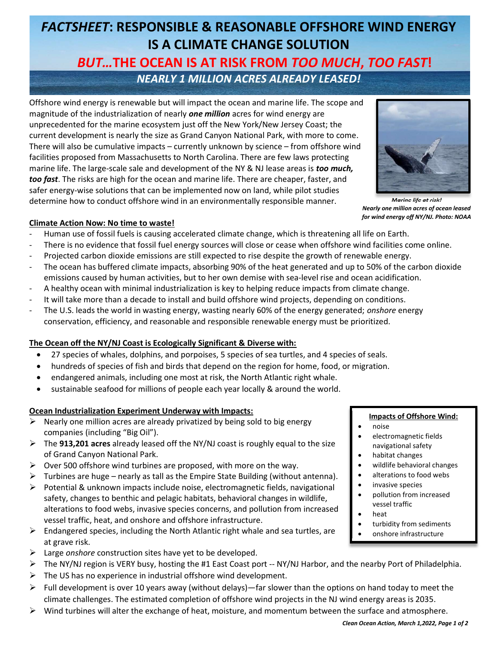# FACTSHEET: RESPONSIBLE & REASONABLE OFFSHORE WIND ENERGY IS A CLIMATE CHANGE SOLUTION BUT…THE OCEAN IS AT RISK FROM TOO MUCH, TOO FAST! NEARLY 1 MILLION ACRES ALREADY LEASED!

Offshore wind energy is renewable but will impact the ocean and marine life. The scope and magnitude of the industrialization of nearly **one million** acres for wind energy are unprecedented for the marine ecosystem just off the New York/New Jersey Coast; the current development is nearly the size as Grand Canyon National Park, with more to come. There will also be cumulative impacts – currently unknown by science – from offshore wind facilities proposed from Massachusetts to North Carolina. There are few laws protecting marine life. The large-scale sale and development of the NY & NJ lease areas is *too much*, too fast. The risks are high for the ocean and marine life. There are cheaper, faster, and safer energy-wise solutions that can be implemented now on land, while pilot studies determine how to conduct offshore wind in an environmentally responsible manner.



Marine life at risk! Nearly one million acres of ocean leased for wind energy off NY/NJ. Photo: NOAA

## Climate Action Now: No time to waste!

- Human use of fossil fuels is causing accelerated climate change, which is threatening all life on Earth.
- There is no evidence that fossil fuel energy sources will close or cease when offshore wind facilities come online.
- Projected carbon dioxide emissions are still expected to rise despite the growth of renewable energy.
- The ocean has buffered climate impacts, absorbing 90% of the heat generated and up to 50% of the carbon dioxide emissions caused by human activities, but to her own demise with sea-level rise and ocean acidification.
- A healthy ocean with minimal industrialization is key to helping reduce impacts from climate change.
- It will take more than a decade to install and build offshore wind projects, depending on conditions.
- The U.S. leads the world in wasting energy, wasting nearly 60% of the energy generated; *onshore* energy conservation, efficiency, and reasonable and responsible renewable energy must be prioritized.

## The Ocean off the NY/NJ Coast is Ecologically Significant & Diverse with:

- 27 species of whales, dolphins, and porpoises, 5 species of sea turtles, and 4 species of seals.
- hundreds of species of fish and birds that depend on the region for home, food, or migration.
- endangered animals, including one most at risk, the North Atlantic right whale.
- sustainable seafood for millions of people each year locally & around the world.

## Ocean Industrialization Experiment Underway with Impacts:

- Nearly one million acres are already privatized by being sold to big energy companies (including "Big Oil").
- $\triangleright$  The 913,201 acres already leased off the NY/NJ coast is roughly equal to the size of Grand Canyon National Park.
- $\triangleright$  Over 500 offshore wind turbines are proposed, with more on the way.
- $\triangleright$  Turbines are huge nearly as tall as the Empire State Building (without antenna).
- Potential & unknown impacts include noise, electromagnetic fields, navigational safety, changes to benthic and pelagic habitats, behavioral changes in wildlife, alterations to food webs, invasive species concerns, and pollution from increased vessel traffic, heat, and onshore and offshore infrastructure.
- $\triangleright$  Endangered species, including the North Atlantic right whale and sea turtles, are at grave risk.
- $\triangleright$  Large onshore construction sites have yet to be developed.
- The NY/NJ region is VERY busy, hosting the #1 East Coast port -- NY/NJ Harbor, and the nearby Port of Philadelphia.
- $\triangleright$  The US has no experience in industrial offshore wind development.
- $\triangleright$  Full development is over 10 years away (without delays)—far slower than the options on hand today to meet the climate challenges. The estimated completion of offshore wind projects in the NJ wind energy areas is 2035.
- $\triangleright$  Wind turbines will alter the exchange of heat, moisture, and momentum between the surface and atmosphere.

#### Impacts of Offshore Wind:

- noise
- electromagnetic fields navigational safety
- habitat changes
- wildlife behavioral changes
- alterations to food webs
- **•** invasive species
- pollution from increased vessel traffic
- heat
- turbidity from sediments
- onshore infrastructure